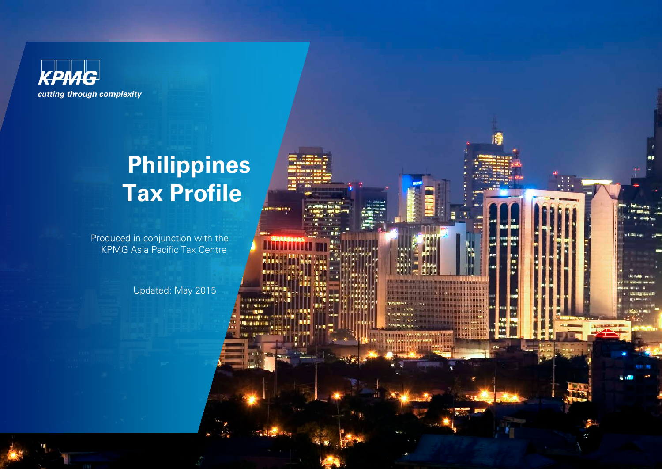

# **Philippines Tax Profile**

**RORA EMA** 

,,,,,,,,,,,,,,,,,, mmu

Produced in conjunction with the **KPMG Asia Pacific Tax Centre** 

Updated: May 2015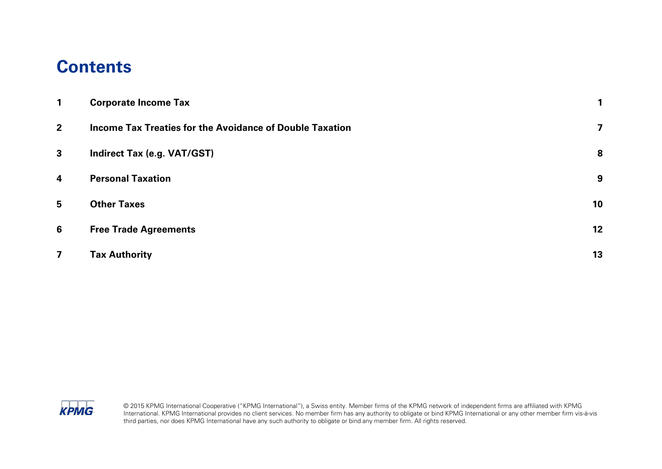#### **Contents**

| 1                       | <b>Corporate Income Tax</b>                              |    |
|-------------------------|----------------------------------------------------------|----|
| $2^{\circ}$             | Income Tax Treaties for the Avoidance of Double Taxation | 7  |
| $\mathbf{3}$            | <b>Indirect Tax (e.g. VAT/GST)</b>                       | 8  |
| $\overline{\mathbf{4}}$ | <b>Personal Taxation</b>                                 | 9  |
| 5                       | <b>Other Taxes</b>                                       | 10 |
| $6\phantom{1}$          | <b>Free Trade Agreements</b>                             | 12 |
| $\overline{\mathbf{z}}$ | <b>Tax Authority</b>                                     | 13 |

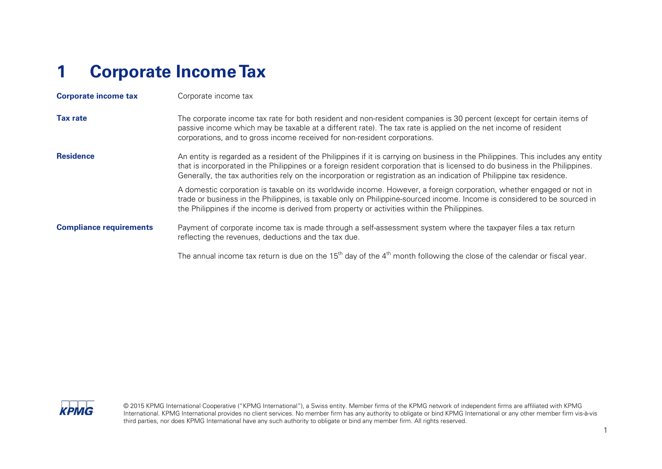### <span id="page-2-0"></span>**1 Corporate Income Tax**

| <b>Corporate income tax</b>    | Corporate income tax                                                                                                                                                                                                                                                                                                                                                                         |
|--------------------------------|----------------------------------------------------------------------------------------------------------------------------------------------------------------------------------------------------------------------------------------------------------------------------------------------------------------------------------------------------------------------------------------------|
| <b>Tax rate</b>                | The corporate income tax rate for both resident and non-resident companies is 30 percent (except for certain items of<br>passive income which may be taxable at a different rate). The tax rate is applied on the net income of resident<br>corporations, and to gross income received for non-resident corporations.                                                                        |
| <b>Residence</b>               | An entity is regarded as a resident of the Philippines if it is carrying on business in the Philippines. This includes any entity<br>that is incorporated in the Philippines or a foreign resident corporation that is licensed to do business in the Philippines.<br>Generally, the tax authorities rely on the incorporation or registration as an indication of Philippine tax residence. |
|                                | A domestic corporation is taxable on its worldwide income. However, a foreign corporation, whether engaged or not in<br>trade or business in the Philippines, is taxable only on Philippine-sourced income. Income is considered to be sourced in<br>the Philippines if the income is derived from property or activities within the Philippines.                                            |
| <b>Compliance requirements</b> | Payment of corporate income tax is made through a self-assessment system where the taxpayer files a tax return<br>reflecting the revenues, deductions and the tax due.                                                                                                                                                                                                                       |
|                                | The annual income tax return is due on the $15th$ day of the $4th$ month following the close of the calendar or fiscal year.                                                                                                                                                                                                                                                                 |

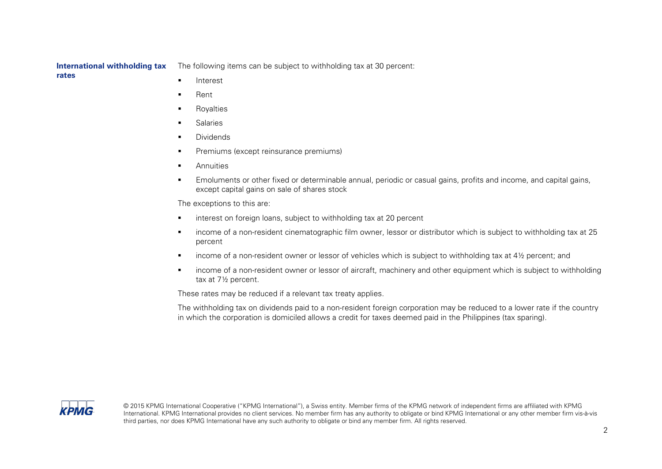**International withholding tax rates** The following items can be subject to withholding tax at 30 percent: **Interest** 

- Rent
- Royalties
- Salaries
- **Dividends**
- **Premiums (except reinsurance premiums)**
- **Annuities**
- Emoluments or other fixed or determinable annual, periodic or casual gains, profits and income, and capital gains, except capital gains on sale of shares stock

The exceptions to this are:

- **EXECT** interest on foreign loans, subject to withholding tax at 20 percent
- income of a non-resident cinematographic film owner, lessor or distributor which is subject to withholding tax at 25 percent
- income of a non-resident owner or lessor of vehicles which is subject to withholding tax at 4½ percent; and
- income of a non-resident owner or lessor of aircraft, machinery and other equipment which is subject to withholding tax at 7½ percent.

These rates may be reduced if a relevant tax treaty applies.

The withholding tax on dividends paid to a non-resident foreign corporation may be reduced to a lower rate if the country in which the corporation is domiciled allows a credit for taxes deemed paid in the Philippines (tax sparing).

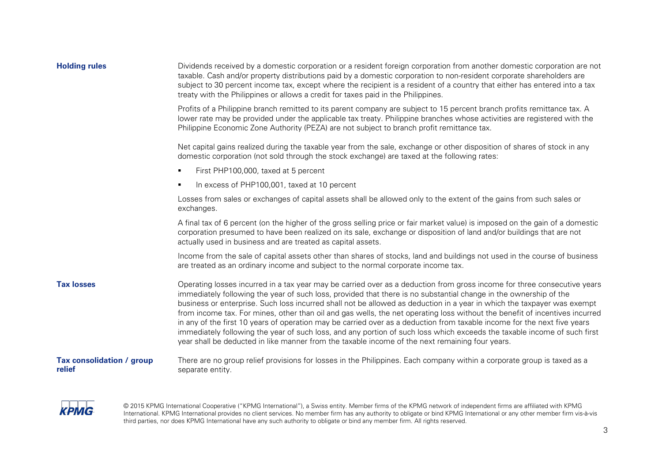| <b>Holding rules</b>                       | Dividends received by a domestic corporation or a resident foreign corporation from another domestic corporation are not<br>taxable. Cash and/or property distributions paid by a domestic corporation to non-resident corporate shareholders are<br>subject to 30 percent income tax, except where the recipient is a resident of a country that either has entered into a tax<br>treaty with the Philippines or allows a credit for taxes paid in the Philippines.                                                                                                                                                                                                                                                                                                                                                                                               |
|--------------------------------------------|--------------------------------------------------------------------------------------------------------------------------------------------------------------------------------------------------------------------------------------------------------------------------------------------------------------------------------------------------------------------------------------------------------------------------------------------------------------------------------------------------------------------------------------------------------------------------------------------------------------------------------------------------------------------------------------------------------------------------------------------------------------------------------------------------------------------------------------------------------------------|
|                                            | Profits of a Philippine branch remitted to its parent company are subject to 15 percent branch profits remittance tax. A<br>lower rate may be provided under the applicable tax treaty. Philippine branches whose activities are registered with the<br>Philippine Economic Zone Authority (PEZA) are not subject to branch profit remittance tax.                                                                                                                                                                                                                                                                                                                                                                                                                                                                                                                 |
|                                            | Net capital gains realized during the taxable year from the sale, exchange or other disposition of shares of stock in any<br>domestic corporation (not sold through the stock exchange) are taxed at the following rates:                                                                                                                                                                                                                                                                                                                                                                                                                                                                                                                                                                                                                                          |
|                                            | First PHP100,000, taxed at 5 percent<br>٠                                                                                                                                                                                                                                                                                                                                                                                                                                                                                                                                                                                                                                                                                                                                                                                                                          |
|                                            | In excess of PHP100,001, taxed at 10 percent<br>٠                                                                                                                                                                                                                                                                                                                                                                                                                                                                                                                                                                                                                                                                                                                                                                                                                  |
|                                            | Losses from sales or exchanges of capital assets shall be allowed only to the extent of the gains from such sales or<br>exchanges.                                                                                                                                                                                                                                                                                                                                                                                                                                                                                                                                                                                                                                                                                                                                 |
|                                            | A final tax of 6 percent (on the higher of the gross selling price or fair market value) is imposed on the gain of a domestic<br>corporation presumed to have been realized on its sale, exchange or disposition of land and/or buildings that are not<br>actually used in business and are treated as capital assets.                                                                                                                                                                                                                                                                                                                                                                                                                                                                                                                                             |
|                                            | Income from the sale of capital assets other than shares of stocks, land and buildings not used in the course of business<br>are treated as an ordinary income and subject to the normal corporate income tax.                                                                                                                                                                                                                                                                                                                                                                                                                                                                                                                                                                                                                                                     |
| <b>Tax losses</b>                          | Operating losses incurred in a tax year may be carried over as a deduction from gross income for three consecutive years<br>immediately following the year of such loss, provided that there is no substantial change in the ownership of the<br>business or enterprise. Such loss incurred shall not be allowed as deduction in a year in which the taxpayer was exempt<br>from income tax. For mines, other than oil and gas wells, the net operating loss without the benefit of incentives incurred<br>in any of the first 10 years of operation may be carried over as a deduction from taxable income for the next five years<br>immediately following the year of such loss, and any portion of such loss which exceeds the taxable income of such first<br>year shall be deducted in like manner from the taxable income of the next remaining four years. |
| <b>Tax consolidation / group</b><br>relief | There are no group relief provisions for losses in the Philippines. Each company within a corporate group is taxed as a<br>separate entity.                                                                                                                                                                                                                                                                                                                                                                                                                                                                                                                                                                                                                                                                                                                        |

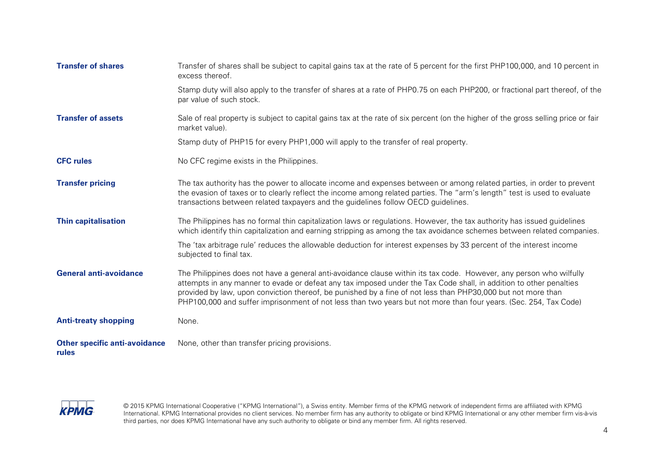| <b>Transfer of shares</b>                     | Transfer of shares shall be subject to capital gains tax at the rate of 5 percent for the first PHP100,000, and 10 percent in<br>excess thereof.                                                                                                                                                                                                                                                                                                                              |  |  |
|-----------------------------------------------|-------------------------------------------------------------------------------------------------------------------------------------------------------------------------------------------------------------------------------------------------------------------------------------------------------------------------------------------------------------------------------------------------------------------------------------------------------------------------------|--|--|
|                                               | Stamp duty will also apply to the transfer of shares at a rate of PHP0.75 on each PHP200, or fractional part thereof, of the<br>par value of such stock.                                                                                                                                                                                                                                                                                                                      |  |  |
| <b>Transfer of assets</b>                     | Sale of real property is subject to capital gains tax at the rate of six percent (on the higher of the gross selling price or fair<br>market value).                                                                                                                                                                                                                                                                                                                          |  |  |
|                                               | Stamp duty of PHP15 for every PHP1,000 will apply to the transfer of real property.                                                                                                                                                                                                                                                                                                                                                                                           |  |  |
| <b>CFC rules</b>                              | No CFC regime exists in the Philippines.                                                                                                                                                                                                                                                                                                                                                                                                                                      |  |  |
| <b>Transfer pricing</b>                       | The tax authority has the power to allocate income and expenses between or among related parties, in order to prevent<br>the evasion of taxes or to clearly reflect the income among related parties. The "arm's length" test is used to evaluate<br>transactions between related taxpayers and the guidelines follow OECD guidelines.                                                                                                                                        |  |  |
| <b>Thin capitalisation</b>                    | The Philippines has no formal thin capitalization laws or regulations. However, the tax authority has issued guidelines<br>which identify thin capitalization and earning stripping as among the tax avoidance schemes between related companies.                                                                                                                                                                                                                             |  |  |
|                                               | The 'tax arbitrage rule' reduces the allowable deduction for interest expenses by 33 percent of the interest income<br>subjected to final tax.                                                                                                                                                                                                                                                                                                                                |  |  |
| <b>General anti-avoidance</b>                 | The Philippines does not have a general anti-avoidance clause within its tax code. However, any person who wilfully<br>attempts in any manner to evade or defeat any tax imposed under the Tax Code shall, in addition to other penalties<br>provided by law, upon conviction thereof, be punished by a fine of not less than PHP30,000 but not more than<br>PHP100,000 and suffer imprisonment of not less than two years but not more than four years. (Sec. 254, Tax Code) |  |  |
| <b>Anti-treaty shopping</b>                   | None.                                                                                                                                                                                                                                                                                                                                                                                                                                                                         |  |  |
| <b>Other specific anti-avoidance</b><br>rules | None, other than transfer pricing provisions.                                                                                                                                                                                                                                                                                                                                                                                                                                 |  |  |

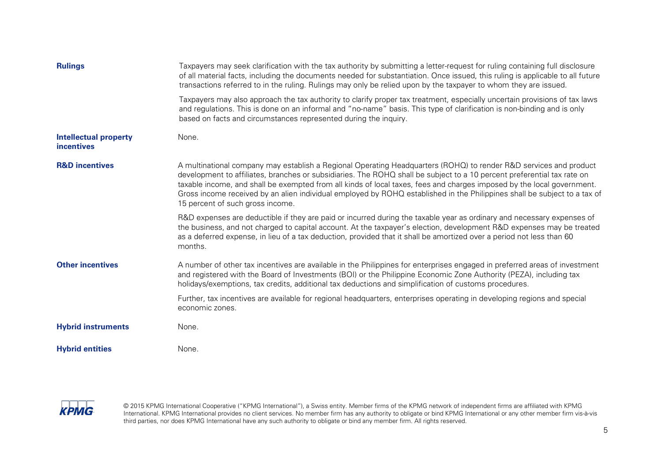| <b>Rulings</b>                                    | Taxpayers may seek clarification with the tax authority by submitting a letter-request for ruling containing full disclosure<br>of all material facts, including the documents needed for substantiation. Once issued, this ruling is applicable to all future<br>transactions referred to in the ruling. Rulings may only be relied upon by the taxpayer to whom they are issued.                                                                                                                                                      |  |  |
|---------------------------------------------------|-----------------------------------------------------------------------------------------------------------------------------------------------------------------------------------------------------------------------------------------------------------------------------------------------------------------------------------------------------------------------------------------------------------------------------------------------------------------------------------------------------------------------------------------|--|--|
|                                                   | Taxpayers may also approach the tax authority to clarify proper tax treatment, especially uncertain provisions of tax laws<br>and regulations. This is done on an informal and "no-name" basis. This type of clarification is non-binding and is only<br>based on facts and circumstances represented during the inquiry.                                                                                                                                                                                                               |  |  |
| <b>Intellectual property</b><br><b>incentives</b> | None.                                                                                                                                                                                                                                                                                                                                                                                                                                                                                                                                   |  |  |
| <b>R&amp;D</b> incentives                         | A multinational company may establish a Regional Operating Headquarters (ROHQ) to render R&D services and product<br>development to affiliates, branches or subsidiaries. The ROHQ shall be subject to a 10 percent preferential tax rate on<br>taxable income, and shall be exempted from all kinds of local taxes, fees and charges imposed by the local government.<br>Gross income received by an alien individual employed by ROHQ established in the Philippines shall be subject to a tax of<br>15 percent of such gross income. |  |  |
|                                                   | R&D expenses are deductible if they are paid or incurred during the taxable year as ordinary and necessary expenses of<br>the business, and not charged to capital account. At the taxpayer's election, development R&D expenses may be treated<br>as a deferred expense, in lieu of a tax deduction, provided that it shall be amortized over a period not less than 60<br>months.                                                                                                                                                     |  |  |
| <b>Other incentives</b>                           | A number of other tax incentives are available in the Philippines for enterprises engaged in preferred areas of investment<br>and registered with the Board of Investments (BOI) or the Philippine Economic Zone Authority (PEZA), including tax<br>holidays/exemptions, tax credits, additional tax deductions and simplification of customs procedures.                                                                                                                                                                               |  |  |
|                                                   | Further, tax incentives are available for regional headquarters, enterprises operating in developing regions and special<br>economic zones.                                                                                                                                                                                                                                                                                                                                                                                             |  |  |
| <b>Hybrid instruments</b>                         | None.                                                                                                                                                                                                                                                                                                                                                                                                                                                                                                                                   |  |  |
| <b>Hybrid entities</b>                            | None.                                                                                                                                                                                                                                                                                                                                                                                                                                                                                                                                   |  |  |

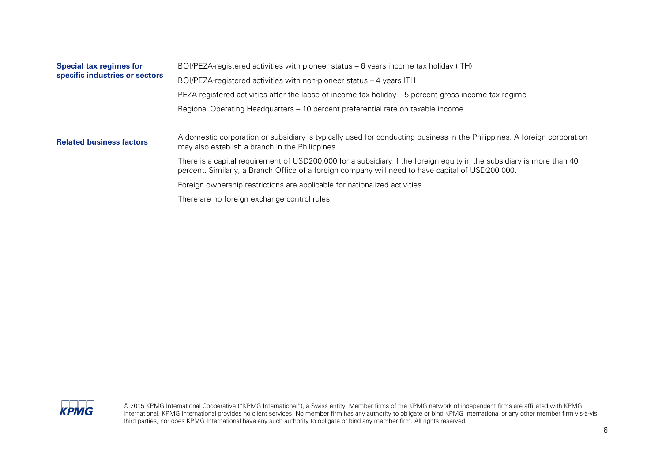| <b>Special tax regimes for</b>  | BOI/PEZA-registered activities with pioneer status – 6 years income tax holiday (ITH)                                                                                                                                      |  |
|---------------------------------|----------------------------------------------------------------------------------------------------------------------------------------------------------------------------------------------------------------------------|--|
| specific industries or sectors  | BOI/PEZA-registered activities with non-pioneer status – 4 years ITH                                                                                                                                                       |  |
|                                 | PEZA-registered activities after the lapse of income tax holiday – 5 percent gross income tax regime                                                                                                                       |  |
|                                 | Regional Operating Headquarters - 10 percent preferential rate on taxable income                                                                                                                                           |  |
| <b>Related business factors</b> | A domestic corporation or subsidiary is typically used for conducting business in the Philippines. A foreign corporation<br>may also establish a branch in the Philippines.                                                |  |
|                                 | There is a capital requirement of USD200,000 for a subsidiary if the foreign equity in the subsidiary is more than 40<br>percent. Similarly, a Branch Office of a foreign company will need to have capital of USD200,000. |  |
|                                 | Foreign ownership restrictions are applicable for nationalized activities.                                                                                                                                                 |  |
|                                 | There are no foreign exchange control rules.                                                                                                                                                                               |  |

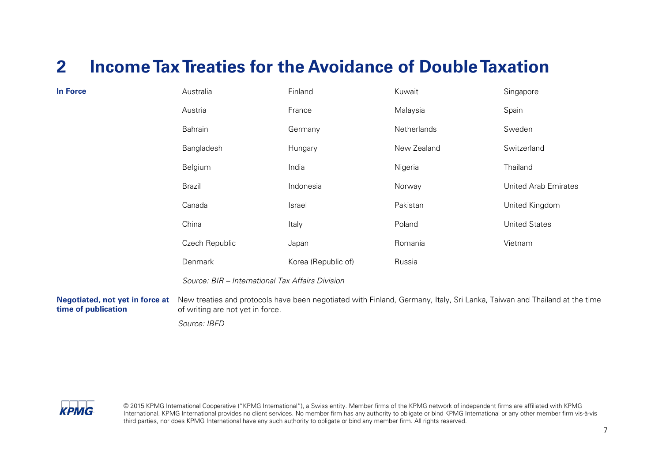#### <span id="page-8-0"></span>**2 Income Tax Treaties for the Avoidance of Double Taxation**

| <b>In Force</b>                                        | Australia                                                                                                                                                    | Finland             | Kuwait      | Singapore            |
|--------------------------------------------------------|--------------------------------------------------------------------------------------------------------------------------------------------------------------|---------------------|-------------|----------------------|
|                                                        | Austria                                                                                                                                                      | France              | Malaysia    | Spain                |
|                                                        | <b>Bahrain</b>                                                                                                                                               | Germany             | Netherlands | Sweden               |
|                                                        | Bangladesh                                                                                                                                                   | Hungary             | New Zealand | Switzerland          |
|                                                        | Belgium                                                                                                                                                      | India               | Nigeria     | Thailand             |
|                                                        | <b>Brazil</b>                                                                                                                                                | Indonesia           | Norway      | United Arab Emirates |
|                                                        | Canada                                                                                                                                                       | Israel              | Pakistan    | United Kingdom       |
|                                                        | China                                                                                                                                                        | Italy               | Poland      | <b>United States</b> |
|                                                        | Czech Republic                                                                                                                                               | Japan               | Romania     | Vietnam              |
|                                                        | Denmark                                                                                                                                                      | Korea (Republic of) | Russia      |                      |
|                                                        | Source: BIR - International Tax Affairs Division                                                                                                             |                     |             |                      |
| Negotiated, not yet in force at<br>time of publication | New treaties and protocols have been negotiated with Finland, Germany, Italy, Sri Lanka, Taiwan and Thailand at the time<br>of writing are not yet in force. |                     |             |                      |

Source: IBFD

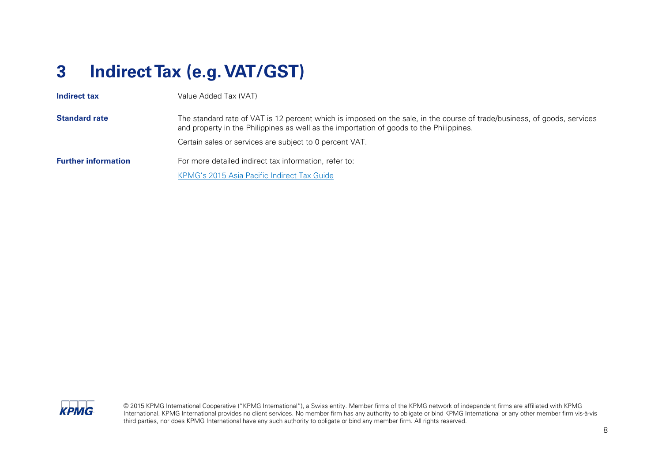## <span id="page-9-0"></span>**3 Indirect Tax (e.g. VAT/GST)**

| <b>Indirect tax</b>        | Value Added Tax (VAT)                                                                                                                                                                                               |  |
|----------------------------|---------------------------------------------------------------------------------------------------------------------------------------------------------------------------------------------------------------------|--|
| <b>Standard rate</b>       | The standard rate of VAT is 12 percent which is imposed on the sale, in the course of trade/business, of goods, services<br>and property in the Philippines as well as the importation of goods to the Philippines. |  |
|                            | Certain sales or services are subject to 0 percent VAT.                                                                                                                                                             |  |
| <b>Further information</b> | For more detailed indirect tax information, refer to:                                                                                                                                                               |  |
|                            | KPMG's 2015 Asia Pacific Indirect Tax Guide                                                                                                                                                                         |  |

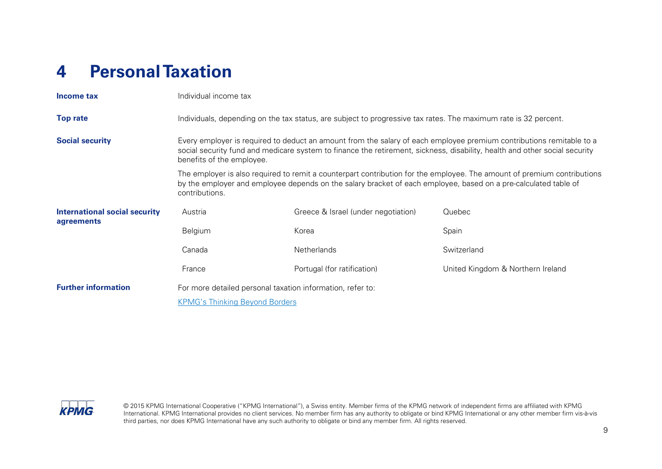#### <span id="page-10-0"></span>**4 Personal Taxation**

| Income tax                           | Individual income tax                                                                                                                                                                                                                                                           |                                     |                                   |  |
|--------------------------------------|---------------------------------------------------------------------------------------------------------------------------------------------------------------------------------------------------------------------------------------------------------------------------------|-------------------------------------|-----------------------------------|--|
| <b>Top rate</b>                      | Individuals, depending on the tax status, are subject to progressive tax rates. The maximum rate is 32 percent.                                                                                                                                                                 |                                     |                                   |  |
| <b>Social security</b>               | Every employer is required to deduct an amount from the salary of each employee premium contributions remitable to a<br>social security fund and medicare system to finance the retirement, sickness, disability, health and other social security<br>benefits of the employee. |                                     |                                   |  |
|                                      | The employer is also required to remit a counterpart contribution for the employee. The amount of premium contributions<br>by the employer and employee depends on the salary bracket of each employee, based on a pre-calculated table of<br>contributions.                    |                                     |                                   |  |
| <b>International social security</b> | Austria                                                                                                                                                                                                                                                                         | Greece & Israel (under negotiation) | Quebec                            |  |
| agreements                           | Belgium                                                                                                                                                                                                                                                                         | Korea                               | Spain                             |  |
|                                      | Canada                                                                                                                                                                                                                                                                          | <b>Netherlands</b>                  | Switzerland                       |  |
|                                      | France                                                                                                                                                                                                                                                                          | Portugal (for ratification)         | United Kingdom & Northern Ireland |  |
| <b>Further information</b>           | For more detailed personal taxation information, refer to:                                                                                                                                                                                                                      |                                     |                                   |  |
|                                      | <b>KPMG's Thinking Beyond Borders</b>                                                                                                                                                                                                                                           |                                     |                                   |  |

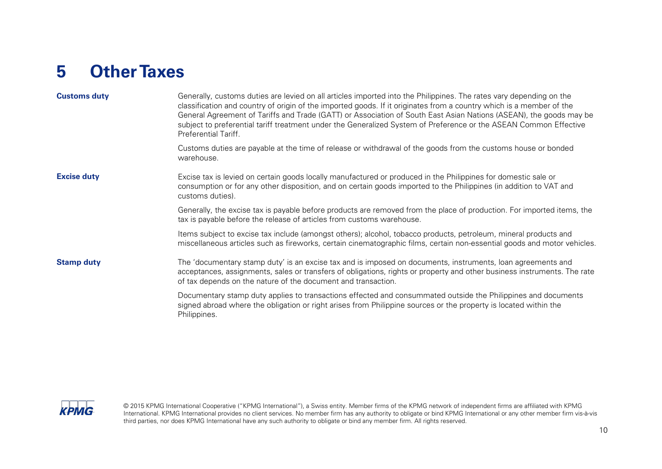#### <span id="page-11-0"></span>**5 Other Taxes**

| <b>Customs duty</b> | Generally, customs duties are levied on all articles imported into the Philippines. The rates vary depending on the<br>classification and country of origin of the imported goods. If it originates from a country which is a member of the<br>General Agreement of Tariffs and Trade (GATT) or Association of South East Asian Nations (ASEAN), the goods may be<br>subject to preferential tariff treatment under the Generalized System of Preference or the ASEAN Common Effective<br>Preferential Tariff. |  |  |
|---------------------|----------------------------------------------------------------------------------------------------------------------------------------------------------------------------------------------------------------------------------------------------------------------------------------------------------------------------------------------------------------------------------------------------------------------------------------------------------------------------------------------------------------|--|--|
|                     | Customs duties are payable at the time of release or withdrawal of the goods from the customs house or bonded<br>warehouse.                                                                                                                                                                                                                                                                                                                                                                                    |  |  |
| <b>Excise duty</b>  | Excise tax is levied on certain goods locally manufactured or produced in the Philippines for domestic sale or<br>consumption or for any other disposition, and on certain goods imported to the Philippines (in addition to VAT and<br>customs duties).                                                                                                                                                                                                                                                       |  |  |
|                     | Generally, the excise tax is payable before products are removed from the place of production. For imported items, the<br>tax is payable before the release of articles from customs warehouse.                                                                                                                                                                                                                                                                                                                |  |  |
|                     | Items subject to excise tax include (amongst others); alcohol, tobacco products, petroleum, mineral products and<br>miscellaneous articles such as fireworks, certain cinematographic films, certain non-essential goods and motor vehicles.                                                                                                                                                                                                                                                                   |  |  |
| <b>Stamp duty</b>   | The 'documentary stamp duty' is an excise tax and is imposed on documents, instruments, loan agreements and<br>acceptances, assignments, sales or transfers of obligations, rights or property and other business instruments. The rate<br>of tax depends on the nature of the document and transaction.                                                                                                                                                                                                       |  |  |
|                     | Documentary stamp duty applies to transactions effected and consummated outside the Philippines and documents<br>signed abroad where the obligation or right arises from Philippine sources or the property is located within the<br>Philippines.                                                                                                                                                                                                                                                              |  |  |

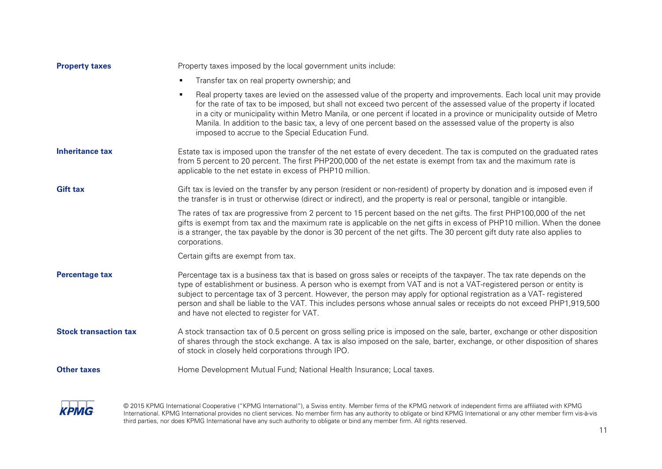| <b>Property taxes</b>        | Property taxes imposed by the local government units include:                                                                                                                                                                                                                                                                                                                                                                                                                                                                                                  |  |  |
|------------------------------|----------------------------------------------------------------------------------------------------------------------------------------------------------------------------------------------------------------------------------------------------------------------------------------------------------------------------------------------------------------------------------------------------------------------------------------------------------------------------------------------------------------------------------------------------------------|--|--|
|                              | Transfer tax on real property ownership; and<br>$\blacksquare$                                                                                                                                                                                                                                                                                                                                                                                                                                                                                                 |  |  |
|                              | Real property taxes are levied on the assessed value of the property and improvements. Each local unit may provide<br>$\blacksquare$<br>for the rate of tax to be imposed, but shall not exceed two percent of the assessed value of the property if located<br>in a city or municipality within Metro Manila, or one percent if located in a province or municipality outside of Metro<br>Manila. In addition to the basic tax, a levy of one percent based on the assessed value of the property is also<br>imposed to accrue to the Special Education Fund. |  |  |
| <b>Inheritance tax</b>       | Estate tax is imposed upon the transfer of the net estate of every decedent. The tax is computed on the graduated rates<br>from 5 percent to 20 percent. The first PHP200,000 of the net estate is exempt from tax and the maximum rate is<br>applicable to the net estate in excess of PHP10 million.                                                                                                                                                                                                                                                         |  |  |
| <b>Gift tax</b>              | Gift tax is levied on the transfer by any person (resident or non-resident) of property by donation and is imposed even if<br>the transfer is in trust or otherwise (direct or indirect), and the property is real or personal, tangible or intangible.                                                                                                                                                                                                                                                                                                        |  |  |
|                              | The rates of tax are progressive from 2 percent to 15 percent based on the net gifts. The first PHP100,000 of the net<br>gifts is exempt from tax and the maximum rate is applicable on the net gifts in excess of PHP10 million. When the donee<br>is a stranger, the tax payable by the donor is 30 percent of the net gifts. The 30 percent gift duty rate also applies to<br>corporations.                                                                                                                                                                 |  |  |
|                              | Certain gifts are exempt from tax.                                                                                                                                                                                                                                                                                                                                                                                                                                                                                                                             |  |  |
| <b>Percentage tax</b>        | Percentage tax is a business tax that is based on gross sales or receipts of the taxpayer. The tax rate depends on the<br>type of establishment or business. A person who is exempt from VAT and is not a VAT-registered person or entity is<br>subject to percentage tax of 3 percent. However, the person may apply for optional registration as a VAT- registered<br>person and shall be liable to the VAT. This includes persons whose annual sales or receipts do not exceed PHP1,919,500<br>and have not elected to register for VAT.                    |  |  |
| <b>Stock transaction tax</b> | A stock transaction tax of 0.5 percent on gross selling price is imposed on the sale, barter, exchange or other disposition<br>of shares through the stock exchange. A tax is also imposed on the sale, barter, exchange, or other disposition of shares<br>of stock in closely held corporations through IPO.                                                                                                                                                                                                                                                 |  |  |
| <b>Other taxes</b>           | Home Development Mutual Fund; National Health Insurance; Local taxes.                                                                                                                                                                                                                                                                                                                                                                                                                                                                                          |  |  |

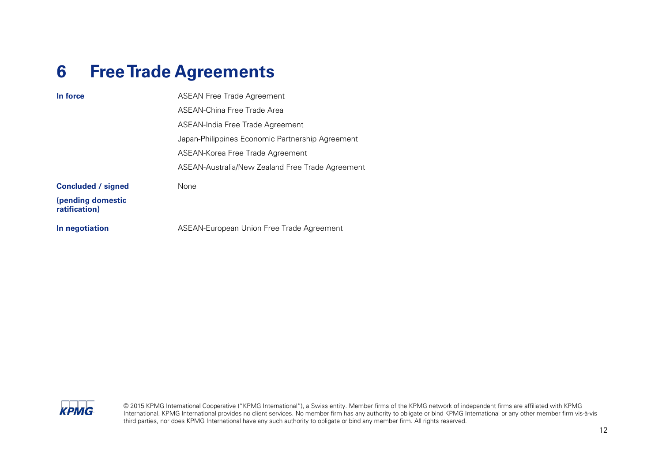#### <span id="page-13-0"></span>**6 Free Trade Agreements**

| In force                           | ASEAN Free Trade Agreement                       |
|------------------------------------|--------------------------------------------------|
|                                    | <b>ASEAN-China Free Trade Area</b>               |
|                                    | ASEAN-India Free Trade Agreement                 |
|                                    | Japan-Philippines Economic Partnership Agreement |
|                                    | ASEAN-Korea Free Trade Agreement                 |
|                                    | ASEAN-Australia/New Zealand Free Trade Agreement |
| <b>Concluded / signed</b>          | None                                             |
| (pending domestic<br>ratification) |                                                  |
| In negotiation                     | ASEAN-European Union Free Trade Agreement        |

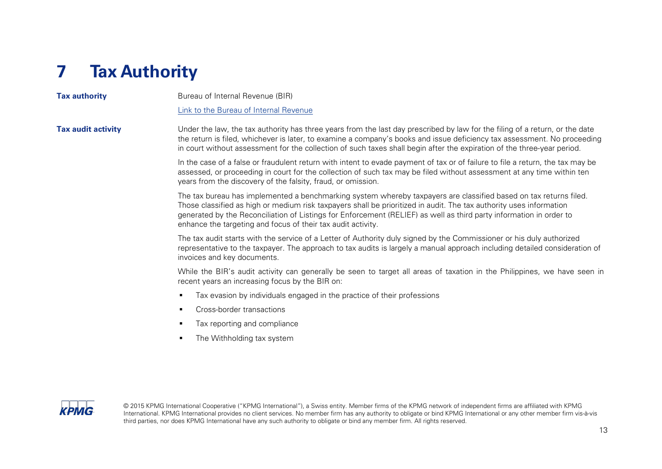### <span id="page-14-0"></span>**7 Tax Authority**

**Tax authority Bureau of Internal Revenue (BIR)** 

[Link to the Bureau of Internal Revenue](http://www.bir.gov.ph/)

**Tax audit activity** Under the law, the tax authority has three years from the last day prescribed by law for the filing of a return, or the date the return is filed, whichever is later, to examine a company's books and issue deficiency tax assessment. No proceeding in court without assessment for the collection of such taxes shall begin after the expiration of the three-year period.

> In the case of a false or fraudulent return with intent to evade payment of tax or of failure to file a return, the tax may be assessed, or proceeding in court for the collection of such tax may be filed without assessment at any time within ten years from the discovery of the falsity, fraud, or omission.

The tax bureau has implemented a benchmarking system whereby taxpayers are classified based on tax returns filed. Those classified as high or medium risk taxpayers shall be prioritized in audit. The tax authority uses information generated by the Reconciliation of Listings for Enforcement (RELIEF) as well as third party information in order to enhance the targeting and focus of their tax audit activity.

The tax audit starts with the service of a Letter of Authority duly signed by the Commissioner or his duly authorized representative to the taxpayer. The approach to tax audits is largely a manual approach including detailed consideration of invoices and key documents.

While the BIR's audit activity can generally be seen to target all areas of taxation in the Philippines, we have seen in recent years an increasing focus by the BIR on:

- Tax evasion by individuals engaged in the practice of their professions
- Cross-border transactions
- **Tax reporting and compliance**
- The Withholding tax system

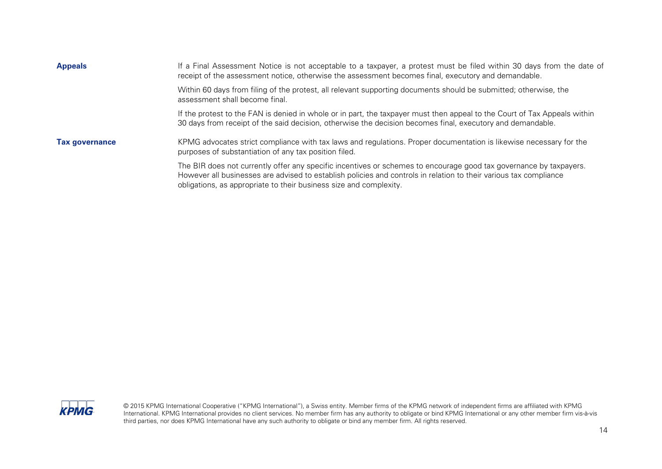| <b>Appeals</b>        | If a Final Assessment Notice is not acceptable to a taxpayer, a protest must be filed within 30 days from the date of<br>receipt of the assessment notice, otherwise the assessment becomes final, executory and demandable.                                                                                  |
|-----------------------|---------------------------------------------------------------------------------------------------------------------------------------------------------------------------------------------------------------------------------------------------------------------------------------------------------------|
|                       | Within 60 days from filing of the protest, all relevant supporting documents should be submitted; otherwise, the<br>assessment shall become final.                                                                                                                                                            |
|                       | If the protest to the FAN is denied in whole or in part, the taxpayer must then appeal to the Court of Tax Appeals within<br>30 days from receipt of the said decision, otherwise the decision becomes final, executory and demandable.                                                                       |
| <b>Tax governance</b> | KPMG advocates strict compliance with tax laws and regulations. Proper documentation is likewise necessary for the<br>purposes of substantiation of any tax position filed.                                                                                                                                   |
|                       | The BIR does not currently offer any specific incentives or schemes to encourage good tax governance by taxpayers.<br>However all businesses are advised to establish policies and controls in relation to their various tax compliance<br>obligations, as appropriate to their business size and complexity. |